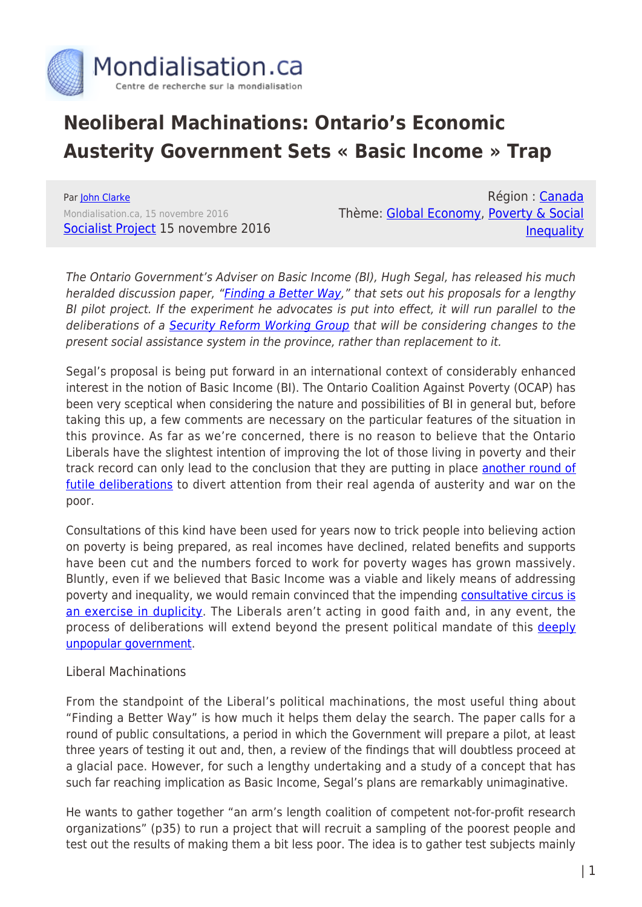

## **Neoliberal Machinations: Ontario's Economic Austerity Government Sets « Basic Income » Trap**

Par [John Clarke](https://www.mondialisation.ca/author/john-clarke) Mondialisation.ca, 15 novembre 2016 [Socialist Project](http://www.socialistproject.ca/bullet/1330.php#continue) 15 novembre 2016

Région : [Canada](https://www.mondialisation.ca/region/canada) Thème: [Global Economy](https://www.mondialisation.ca/theme/global-economy), [Poverty & Social](https://www.mondialisation.ca/theme/poverty-social-inequality) **[Inequality](https://www.mondialisation.ca/theme/poverty-social-inequality)** 

The Ontario Government's Adviser on Basic Income (BI), Hugh Segal, has released his much heralded discussion paper, ["Finding a Better Way](https://files.ontario.ca/discussionpaper_nov3_english_final.pdf)," that sets out his proposals for a lengthy BI pilot project. If the experiment he advocates is put into effect, it will run parallel to the deliberations of a [Security Reform Working Group](https://news.ontario.ca/mcss/en/2016/06/ontario-establishing-income-security-reform-working-group.html) that will be considering changes to the present social assistance system in the province, rather than replacement to it.

Segal's proposal is being put forward in an international context of considerably enhanced interest in the notion of Basic Income (BI). The Ontario Coalition Against Poverty (OCAP) has been very sceptical when considering the nature and possibilities of BI in general but, before taking this up, a few comments are necessary on the particular features of the situation in this province. As far as we're concerned, there is no reason to believe that the Ontario Liberals have the slightest intention of improving the lot of those living in poverty and their track record can only lead to the conclusion that they are putting in place [another round of](https://stillmyrevolution.org/?p=537) [futile deliberations](https://stillmyrevolution.org/?p=537) to divert attention from their real agenda of austerity and war on the poor.

Consultations of this kind have been used for years now to trick people into believing action on poverty is being prepared, as real incomes have declined, related benefits and supports have been cut and the numbers forced to work for poverty wages has grown massively. Bluntly, even if we believed that Basic Income was a viable and likely means of addressing poverty and inequality, we would remain convinced that the impending [consultative circus is](https://www.thestar.com/news/gta/2016/09/12/lets-break-the-cycle-of-endless-studies-and-consultations.html) [an exercise in duplicity.](https://www.thestar.com/news/gta/2016/09/12/lets-break-the-cycle-of-endless-studies-and-consultations.html) The Liberals aren't acting in good faith and, in any event, the process of deliberations will extend beyond the present political mandate of this [deeply](http://news.nationalpost.com/news/canada/canadian-politics/ontario-premier-wynnes-chickens-have-finally-come-home) [unpopular government.](http://news.nationalpost.com/news/canada/canadian-politics/ontario-premier-wynnes-chickens-have-finally-come-home)

## Liberal Machinations

From the standpoint of the Liberal's political machinations, the most useful thing about "Finding a Better Way" is how much it helps them delay the search. The paper calls for a round of public consultations, a period in which the Government will prepare a pilot, at least three years of testing it out and, then, a review of the findings that will doubtless proceed at a glacial pace. However, for such a lengthy undertaking and a study of a concept that has such far reaching implication as Basic Income, Segal's plans are remarkably unimaginative.

He wants to gather together "an arm's length coalition of competent not-for-profit research organizations" (p35) to run a project that will recruit a sampling of the poorest people and test out the results of making them a bit less poor. The idea is to gather test subjects mainly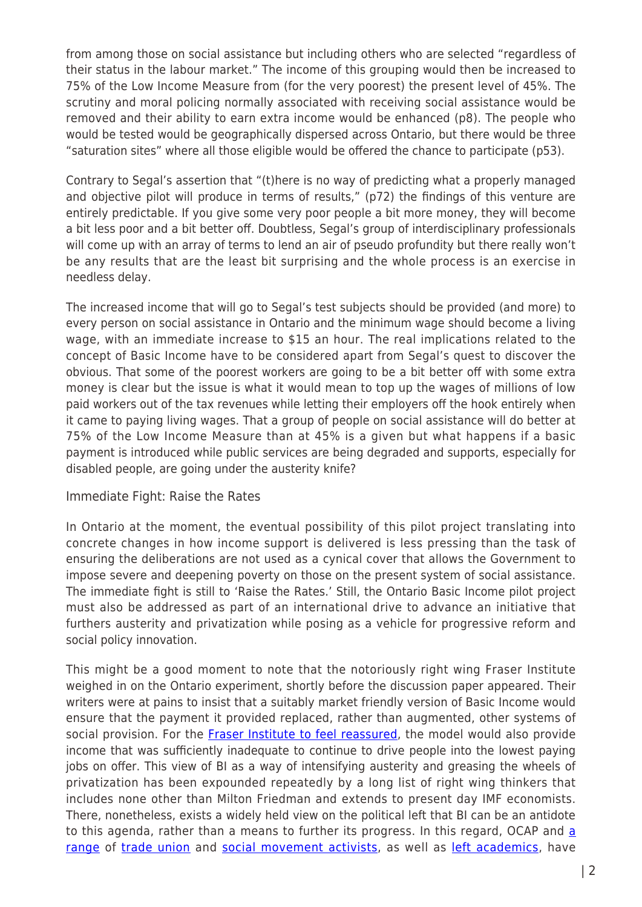from among those on social assistance but including others who are selected "regardless of their status in the labour market." The income of this grouping would then be increased to 75% of the Low Income Measure from (for the very poorest) the present level of 45%. The scrutiny and moral policing normally associated with receiving social assistance would be removed and their ability to earn extra income would be enhanced (p8). The people who would be tested would be geographically dispersed across Ontario, but there would be three "saturation sites" where all those eligible would be offered the chance to participate (p53).

Contrary to Segal's assertion that "(t)here is no way of predicting what a properly managed and objective pilot will produce in terms of results," (p72) the findings of this venture are entirely predictable. If you give some very poor people a bit more money, they will become a bit less poor and a bit better off. Doubtless, Segal's group of interdisciplinary professionals will come up with an array of terms to lend an air of pseudo profundity but there really won't be any results that are the least bit surprising and the whole process is an exercise in needless delay.

The increased income that will go to Segal's test subjects should be provided (and more) to every person on social assistance in Ontario and the minimum wage should become a living wage, with an immediate increase to \$15 an hour. The real implications related to the concept of Basic Income have to be considered apart from Segal's quest to discover the obvious. That some of the poorest workers are going to be a bit better off with some extra money is clear but the issue is what it would mean to top up the wages of millions of low paid workers out of the tax revenues while letting their employers off the hook entirely when it came to paying living wages. That a group of people on social assistance will do better at 75% of the Low Income Measure than at 45% is a given but what happens if a basic payment is introduced while public services are being degraded and supports, especially for disabled people, are going under the austerity knife?

## Immediate Fight: Raise the Rates

In Ontario at the moment, the eventual possibility of this pilot project translating into concrete changes in how income support is delivered is less pressing than the task of ensuring the deliberations are not used as a cynical cover that allows the Government to impose severe and deepening poverty on those on the present system of social assistance. The immediate fight is still to 'Raise the Rates.' Still, the Ontario Basic Income pilot project must also be addressed as part of an international drive to advance an initiative that furthers austerity and privatization while posing as a vehicle for progressive reform and social policy innovation.

This might be a good moment to note that the notoriously right wing Fraser Institute weighed in on the Ontario experiment, shortly before the discussion paper appeared. Their writers were at pains to insist that a suitably market friendly version of Basic Income would ensure that the payment it provided replaced, rather than augmented, other systems of social provision. For the [Fraser Institute to feel reassured,](https://www.fraserinstitute.org/node/10275) the model would also provide income that was sufficiently inadequate to continue to drive people into the lowest paying jobs on offer. This view of BI as a way of intensifying austerity and greasing the wheels of privatization has been expounded repeatedly by a long list of right wing thinkers that includes none other than Milton Friedman and extends to present day IMF economists. There, nonetheless, exists a widely held view on the political left that BI can be an antidote to this [a](https://briarpatchmagazine.com/articles/view/who-wants-a-universal-basic-income)genda, rather than a means to further its progress. In this regard, OCAP and a [range](https://briarpatchmagazine.com/articles/view/who-wants-a-universal-basic-income) of [trade union](https://unionresearch.org/?p=567) and [social movement activists](http://www.furtherfield.org/features/articles/universal-basic-income-neoliberal-plot-make-you-poorer), as well as [left academics,](http://rankandfile.ca/2016/04/22/beware-of-basic-income/) have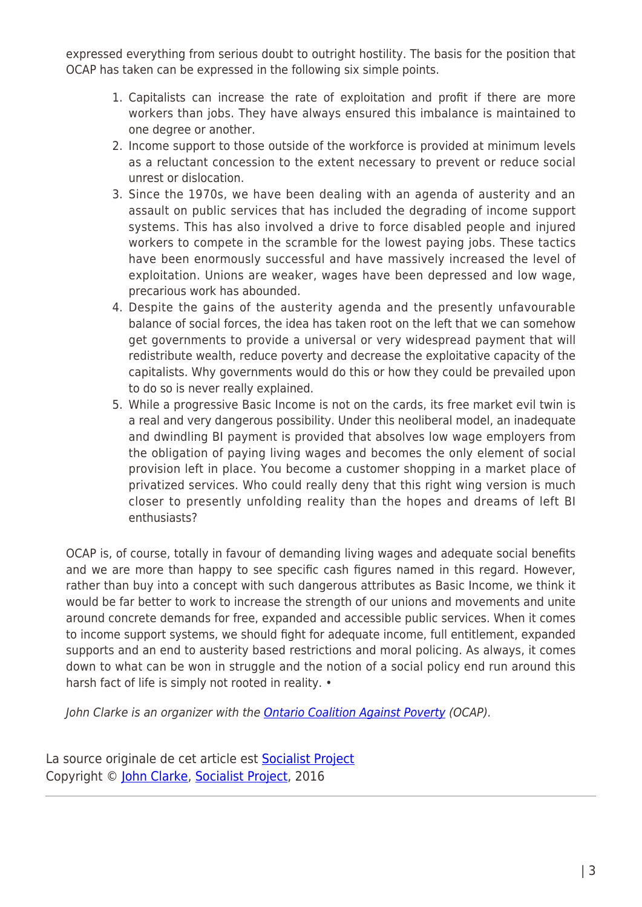expressed everything from serious doubt to outright hostility. The basis for the position that OCAP has taken can be expressed in the following six simple points.

- 1. Capitalists can increase the rate of exploitation and profit if there are more workers than jobs. They have always ensured this imbalance is maintained to one degree or another.
- 2. Income support to those outside of the workforce is provided at minimum levels as a reluctant concession to the extent necessary to prevent or reduce social unrest or dislocation.
- 3. Since the 1970s, we have been dealing with an agenda of austerity and an assault on public services that has included the degrading of income support systems. This has also involved a drive to force disabled people and injured workers to compete in the scramble for the lowest paying jobs. These tactics have been enormously successful and have massively increased the level of exploitation. Unions are weaker, wages have been depressed and low wage, precarious work has abounded.
- 4. Despite the gains of the austerity agenda and the presently unfavourable balance of social forces, the idea has taken root on the left that we can somehow get governments to provide a universal or very widespread payment that will redistribute wealth, reduce poverty and decrease the exploitative capacity of the capitalists. Why governments would do this or how they could be prevailed upon to do so is never really explained.
- 5. While a progressive Basic Income is not on the cards, its free market evil twin is a real and very dangerous possibility. Under this neoliberal model, an inadequate and dwindling BI payment is provided that absolves low wage employers from the obligation of paying living wages and becomes the only element of social provision left in place. You become a customer shopping in a market place of privatized services. Who could really deny that this right wing version is much closer to presently unfolding reality than the hopes and dreams of left BI enthusiasts?

OCAP is, of course, totally in favour of demanding living wages and adequate social benefits and we are more than happy to see specific cash figures named in this regard. However, rather than buy into a concept with such dangerous attributes as Basic Income, we think it would be far better to work to increase the strength of our unions and movements and unite around concrete demands for free, expanded and accessible public services. When it comes to income support systems, we should fight for adequate income, full entitlement, expanded supports and an end to austerity based restrictions and moral policing. As always, it comes down to what can be won in struggle and the notion of a social policy end run around this harsh fact of life is simply not rooted in reality. •

John Clarke is an organizer with the [Ontario Coalition Against Poverty](http://ocap.ca/) (OCAP).

La source originale de cet article est **[Socialist Project](http://www.socialistproject.ca/bullet/1330.php#continue)** Copyright © [John Clarke](https://www.mondialisation.ca/author/john-clarke), [Socialist Project,](http://www.socialistproject.ca/bullet/1330.php#continue) 2016